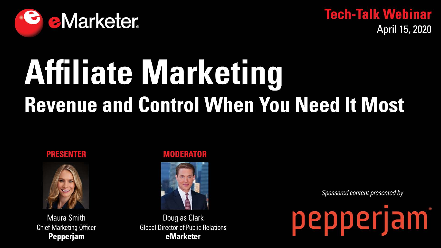

**Tech-Talk Webinar** April 15, 2020

# Affiliate Marketing **Revenue and Control When You Need It Most**

### **PRESENTER**



**Maura Smith Chief Marketing Officer Pepperjam** 

### **MODERATOR**



Douglas Clark **Global Director of Public Relations** eMarketer

Sponsored content presented by

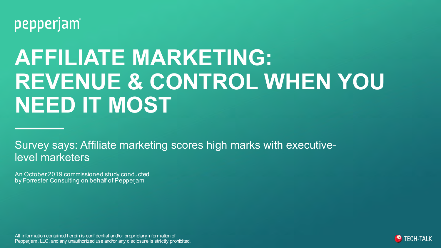

# **AFFILIATE MARKETING: REVENUE & CONTROL WHEN YOU NEED IT MOST**

Survey says: Affiliate marketing scores high marks with executivelevel marketers

An October 2019 commissioned study conducted by Forrester Consulting on behalf of Pepperjam

All information contained herein is confidential and/or proprietary information of Pepperjam, LLC, and any unauthorized use and/or any disclosure is strictly prohibited.

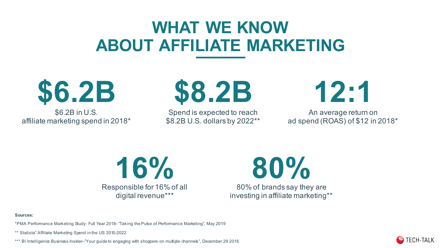## **WHAT WE KNOW ABOUT AFFILIATE MARKETING**

**\$6.2B**

\$6.2B in U.S. affiliate marketing spend in 2018\*



Spend is expected to reach \$8.2B U.S. dollars by 2022\*\* **12:1**

An average return on ad spend (ROAS) of \$12 in 2018\*



**80%**

80% of brands say they are investing in affiliate marketing\*\*

**Sources:** 

\*PMA Performance Marketing Study: Full Year 2018- "Taking the Pulse of Performance Marketing", May 2019

\*\* Statista" Affiliate Marketing Spend in the US 2010-2022

\*\*\* BI Intelligence Business Insider–"Your guide to engaging with shoppers on multiple channels", December 29 2016

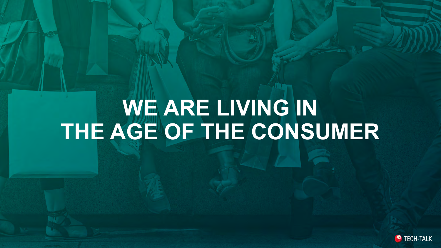# **WE ARE LIVING IN THE AGE OF THE CONSUMER**

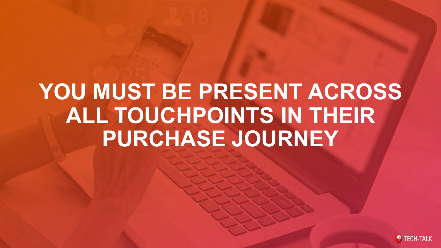# **YOU MUST BE PRESENT ACROSS ALL TOUCHPOINTS IN THEIR PURCHASE JOURNEY**

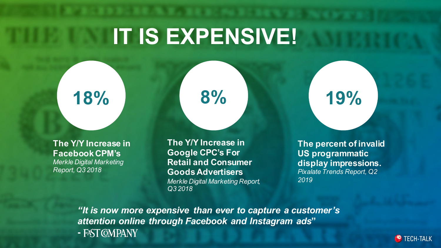# **IT IS EXPENSIVE!**

**18%**

### **The Y/Y Increase in Facebook CPM's** *Merkle Digital Marketing*

*Report, Q3 2018*

**The Y/Y Increase in Google CPC's For Retail and Consumer Goods Advertisers** *Merkle Digital Marketing Report, Q3 2018*

**8%**

**19%**

**The percent of invalid US programmatic display impressions.** *Pixalate Trends Report, Q2 2019* 

*"It is now more expensive than ever to capture a customer's attention online through Facebook and Instagram ads***" -**

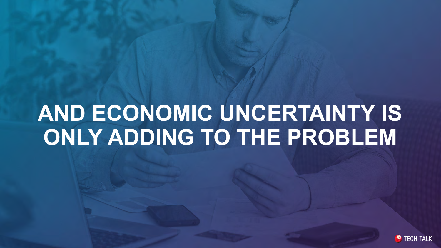# **AND ECONOMIC UNCERTAINTY IS ONLY ADDING TO THE PROBLEM**

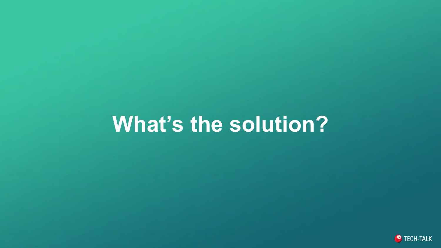## **What's the solution?**

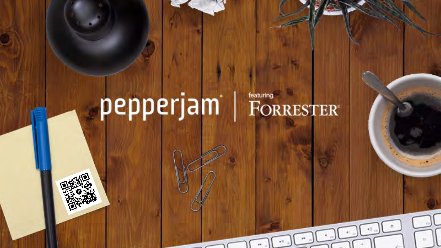## featuring<br>
FORRESTER® pepperjam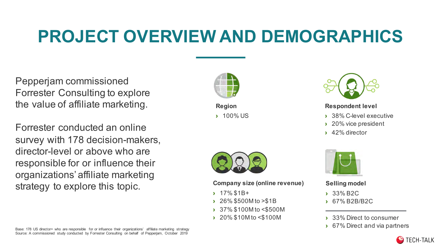## **PROJECT OVERVIEW AND DEMOGRAPHICS**

Pepperjam commissioned Forrester Consulting to explore the value of affiliate marketing.

Forrester conducted an online survey with 178 decision-makers, director-level or above who are responsible for or influence their organizations' affiliate marketing strategy to explore this topic.



**Region** › 100% US



### **Respondent level**

- › 38% C-level executive
- › 20% vice president
- › 42% director



### **Company size (online revenue)**

- › 17% \$1B+
- › 26% \$500M to >\$1B
- › 37% \$100M to <\$500M
- › 20% \$10M to <\$100M



**Selling model**

- › 33% B2C
- › 67% B2B/B2C
- 33% Direct to consumer
- 

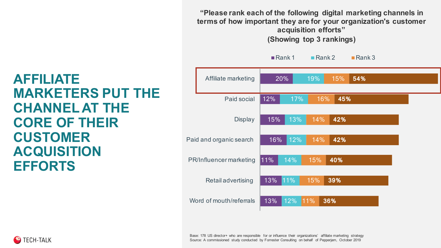**"Please rank each of the following digital marketing channels in terms of how important they are for your organization's customer acquisition efforts" (Showing top 3 rankings)**

#### 13% 13% 11% 16% 15% 12% 20% 12% 11% 14% 12% 13% 17% 19% 11% 15% 15% 14% 14% 16% 15% **36% 39% 40% 42% 42% 45% 54%** Word of mouth/referrals Retail advertising PR/Influencer marketing Paid and organic search **Display** Paid social Affiliate marketing Rank 1 Rank 2 Rank 3

### **AFFILIATE MARKETERS PUT THE CHANNEL AT THE CORE OF THEIR CUSTOMER ACQUISITION EFFORTS**

Base: 178 US director+ who are responsible for or influence their organizations' affiliate marketing strategy Source: A commissioned study conducted by Forrester Consulting on behalf of Pepperjam, October 2019

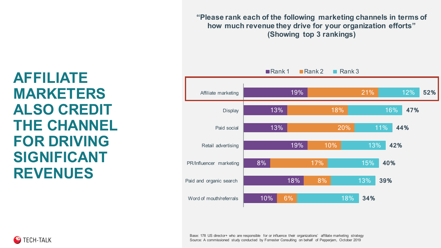**"Please rank each of the following marketing channels in terms of how much revenue they drive for your organization efforts" (Showing top 3 rankings)**



**AFFILIATE MARKETERS ALSO CREDIT THE CHANNEL FOR DRIVING SIGNIFICANT REVENUES**

> Base: 178 US director+ who are responsible for or influence their organizations' affiliate marketing strategy Source: A commissioned study conducted by Forrester Consulting on behalf of Pepperjam, October 2019

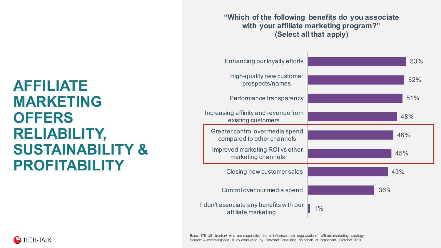### **AFFILIATE MARKETING OFFERS RELIABILITY, SUSTAINABILITY & PROFITABILITY**

**"Which of the following benefits do you associate with your affiliate marketing program?" (Select all that apply)**

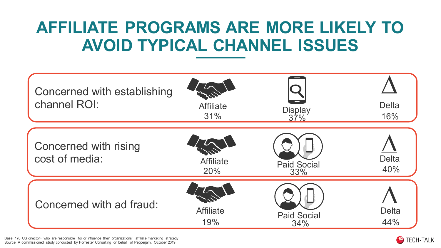## **AFFILIATE PROGRAMS ARE MORE LIKELY TO AVOID TYPICAL CHANNEL ISSUES**



Base: 178 US director+ who are responsible for or influence their organizations' affiliate marketing strategy Source: A commissioned study conducted by Forrester Consulting on behalf of Pepperjam, October 2019

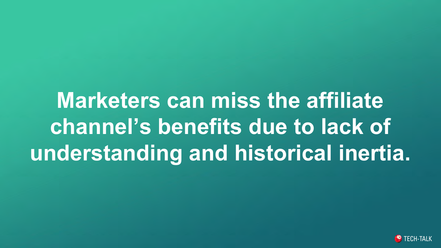**Marketers can miss the affiliate channel's benefits due to lack of understanding and historical inertia.**

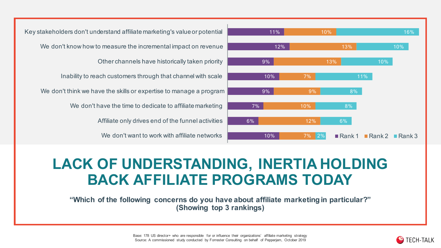

We don't want to work with affiliate networks Affiliate only drives end of the funnel activities We don't have the time to dedicate to affiliate marketing We don't think we have the skills or expertise to manage a program Inability to reach customers through that channel with scale Other channels have historically taken priority We don't know how to measure the incremental impact on revenue Key stakeholders don't understand affiliate marketing's value or potential

### **LACK OF UNDERSTANDING, INERTIA HOLDING BACK AFFILIATE PROGRAMS TODAY**

**"Which of the following concerns do you have about affiliate marketing in particular?" (Showing top 3 rankings)**

> Base: 178 US director+ who are responsible for or influence their organizations' affiliate marketing strategy Source: A commissioned study conducted by Forrester Consulting on behalf of Pepperjam, October 2019

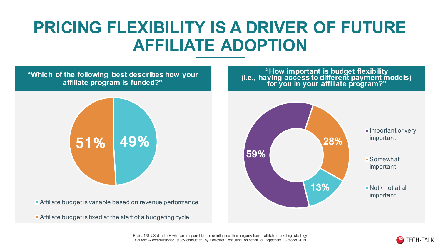## **PRICING FLEXIBILITY IS A DRIVER OF FUTURE AFFILIATE ADOPTION**

**"Which of the following best describes how your affiliate program is funded?"**



Affiliate budget is variable based on revenue performance

Affiliate budget is fixed at the start of a budgeting cycle

**"How important is budget flexibility (i.e., having access to different payment models) for you in your affiliate program?"**



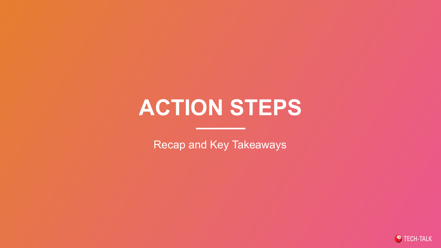# **ACTION STEPS**

Recap and Key Takeaways

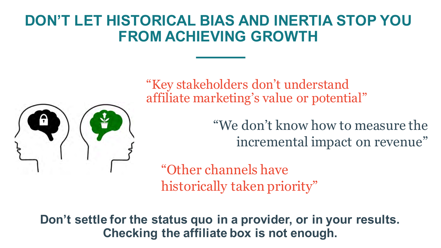### **DON'T LET HISTORICAL BIAS AND INERTIA STOP YOU FROM ACHIEVING GROWTH**



"Key stakeholders don't understand affiliate marketing's value or potential"

> "We don't know how to measure the incremental impact on revenue"

"Other channels have historically taken priority"

**Don't settle for the status quo in a provider, or in your results. Checking the affiliate box is not enough.**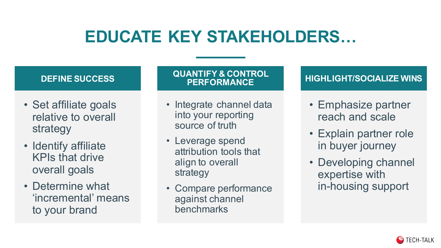## **EDUCATE KEY STAKEHOLDERS…**



benchmarks

to your brand

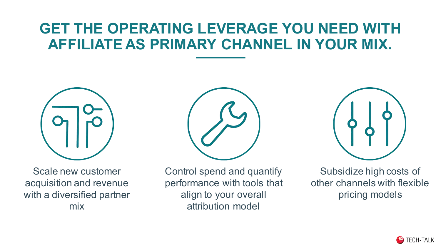### **GET THE OPERATING LEVERAGE YOU NEED WITH AFFILIATE AS PRIMARY CHANNEL IN YOUR MIX.**



Scale new customer acquisition and revenue with a diversified partner mix







Subsidize high costs of other channels with flexible pricing models

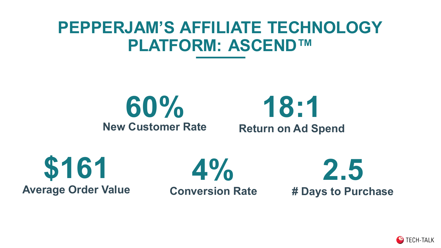### **PEPPERJAM'S AFFILIATE TECHNOLOGY PLATFORM: ASCEND™**

**60% New Customer Rate**

**18:1 Return on Ad Spend**

**\$161 Average Order Value**

**Conversion Rate**

**4%**



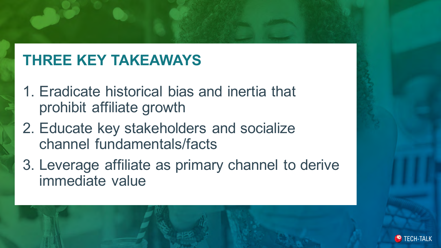### **THREE KEY TAKEAWAYS**

- 1. Eradicate historical bias and inertia that prohibit affiliate growth
- 2. Educate key stakeholders and socialize channel fundamentals/facts
- 3. Leverage affiliate as primary channel to derive immediate value

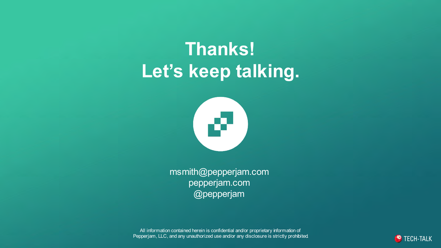## **Thanks! Let's keep talking.**



msmith@pepperjam.com pepperjam.com @pepperjam

All information contained herein is confidential and/or proprietary information of Pepperjam, LLC, and any unauthorized use and/or any disclosure is strictly prohibited.